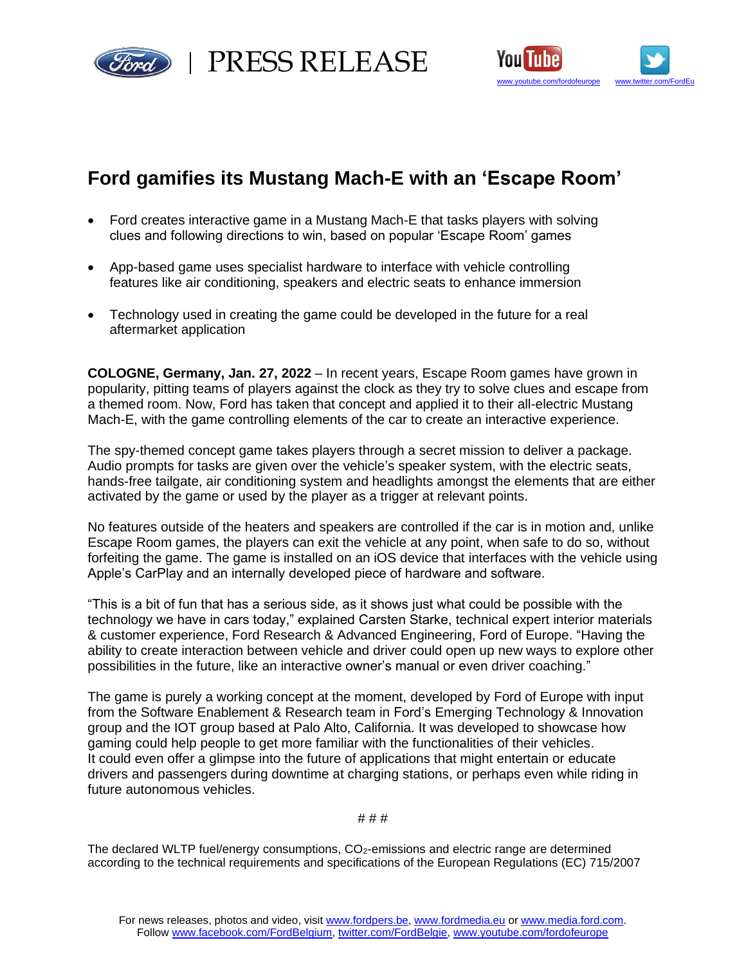

rd | PRESS RELEASE



# **Ford gamifies its Mustang Mach-E with an 'Escape Room'**

- Ford creates interactive game in a Mustang Mach-E that tasks players with solving clues and following directions to win, based on popular 'Escape Room' games
- App-based game uses specialist hardware to interface with vehicle controlling features like air conditioning, speakers and electric seats to enhance immersion
- Technology used in creating the game could be developed in the future for a real aftermarket application

**COLOGNE, Germany, Jan. 27, 2022** – In recent years, Escape Room games have grown in popularity, pitting teams of players against the clock as they try to solve clues and escape from a themed room. Now, Ford has taken that concept and applied it to their all-electric Mustang Mach-E, with the game controlling elements of the car to create an interactive experience.

The spy-themed concept game takes players through a secret mission to deliver a package. Audio prompts for tasks are given over the vehicle's speaker system, with the electric seats, hands-free tailgate, air conditioning system and headlights amongst the elements that are either activated by the game or used by the player as a trigger at relevant points.

No features outside of the heaters and speakers are controlled if the car is in motion and, unlike Escape Room games, the players can exit the vehicle at any point, when safe to do so, without forfeiting the game. The game is installed on an iOS device that interfaces with the vehicle using Apple's CarPlay and an internally developed piece of hardware and software.

"This is a bit of fun that has a serious side, as it shows just what could be possible with the technology we have in cars today," explained Carsten Starke, technical expert interior materials & customer experience, Ford Research & Advanced Engineering, Ford of Europe. "Having the ability to create interaction between vehicle and driver could open up new ways to explore other possibilities in the future, like an interactive owner's manual or even driver coaching."

The game is purely a working concept at the moment, developed by Ford of Europe with input from the Software Enablement & Research team in Ford's Emerging Technology & Innovation group and the IOT group based at Palo Alto, California. It was developed to showcase how gaming could help people to get more familiar with the functionalities of their vehicles. It could even offer a glimpse into the future of applications that might entertain or educate drivers and passengers during downtime at charging stations, or perhaps even while riding in future autonomous vehicles.

## # # #

The declared WLTP fuel/energy consumptions, CO2-emissions and electric range are determined according to the technical requirements and specifications of the European Regulations (EC) 715/2007